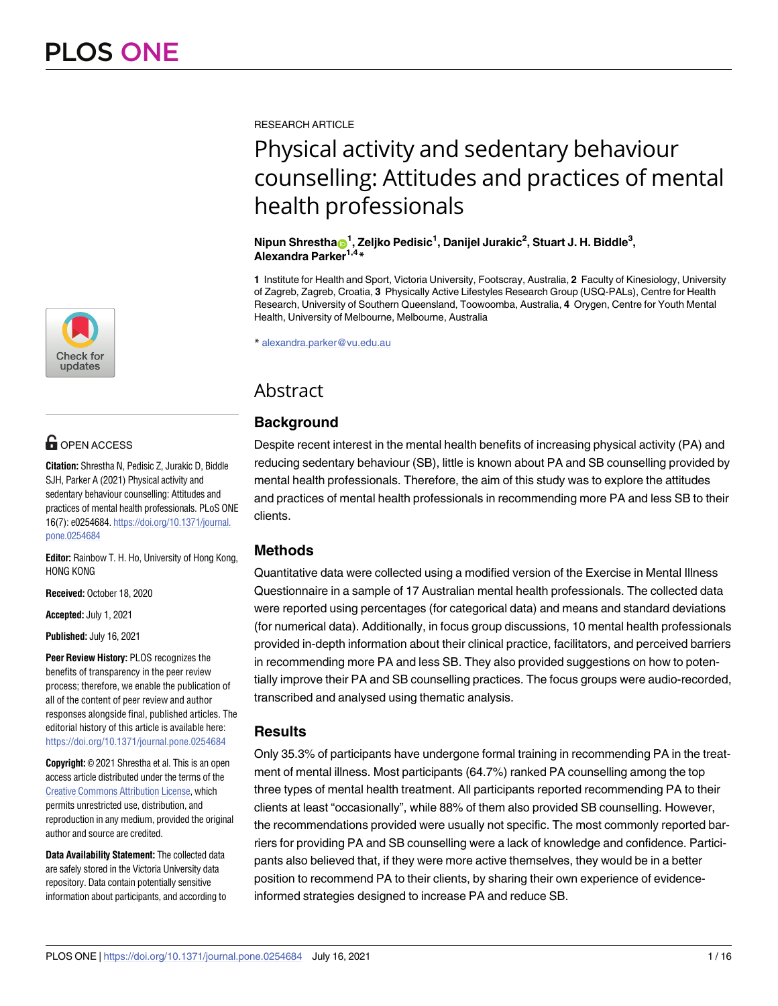

# **OPEN ACCESS**

**Citation:** Shrestha N, Pedisic Z, Jurakic D, Biddle SJH, Parker A (2021) Physical activity and sedentary behaviour counselling: Attitudes and practices of mental health professionals. PLoS ONE 16(7): e0254684. [https://doi.org/10.1371/journal.](https://doi.org/10.1371/journal.pone.0254684) [pone.0254684](https://doi.org/10.1371/journal.pone.0254684)

**Editor:** Rainbow T. H. Ho, University of Hong Kong, HONG KONG

**Received:** October 18, 2020

**Accepted:** July 1, 2021

**Published:** July 16, 2021

**Peer Review History:** PLOS recognizes the benefits of transparency in the peer review process; therefore, we enable the publication of all of the content of peer review and author responses alongside final, published articles. The editorial history of this article is available here: <https://doi.org/10.1371/journal.pone.0254684>

**Copyright:** © 2021 Shrestha et al. This is an open access article distributed under the terms of the Creative Commons [Attribution](http://creativecommons.org/licenses/by/4.0/) License, which permits unrestricted use, distribution, and reproduction in any medium, provided the original author and source are credited.

**Data Availability Statement:** The collected data are safely stored in the Victoria University data repository. Data contain potentially sensitive information about participants, and according to RESEARCH ARTICLE

# Physical activity and sedentary behaviour counselling: Attitudes and practices of mental health professionals

# $N$ ipun Shrestha $\mathbf{\Theta}^1$ , Zeljko Pedisic $^1$ , Danijel Jurakic $^2$ , Stuart J. H. Biddle $^3$ , **Alexandra Parker1,4\***

**1** Institute for Health and Sport, Victoria University, Footscray, Australia, **2** Faculty of Kinesiology, University of Zagreb, Zagreb, Croatia, **3** Physically Active Lifestyles Research Group (USQ-PALs), Centre for Health Research, University of Southern Queensland, Toowoomba, Australia, **4** Orygen, Centre for Youth Mental Health, University of Melbourne, Melbourne, Australia

\* alexandra.parker@vu.edu.au

# Abstract

# **Background**

Despite recent interest in the mental health benefits of increasing physical activity (PA) and reducing sedentary behaviour (SB), little is known about PA and SB counselling provided by mental health professionals. Therefore, the aim of this study was to explore the attitudes and practices of mental health professionals in recommending more PA and less SB to their clients.

# **Methods**

Quantitative data were collected using a modified version of the Exercise in Mental Illness Questionnaire in a sample of 17 Australian mental health professionals. The collected data were reported using percentages (for categorical data) and means and standard deviations (for numerical data). Additionally, in focus group discussions, 10 mental health professionals provided in-depth information about their clinical practice, facilitators, and perceived barriers in recommending more PA and less SB. They also provided suggestions on how to potentially improve their PA and SB counselling practices. The focus groups were audio-recorded, transcribed and analysed using thematic analysis.

# **Results**

Only 35.3% of participants have undergone formal training in recommending PA in the treatment of mental illness. Most participants (64.7%) ranked PA counselling among the top three types of mental health treatment. All participants reported recommending PA to their clients at least "occasionally", while 88% of them also provided SB counselling. However, the recommendations provided were usually not specific. The most commonly reported barriers for providing PA and SB counselling were a lack of knowledge and confidence. Participants also believed that, if they were more active themselves, they would be in a better position to recommend PA to their clients, by sharing their own experience of evidenceinformed strategies designed to increase PA and reduce SB.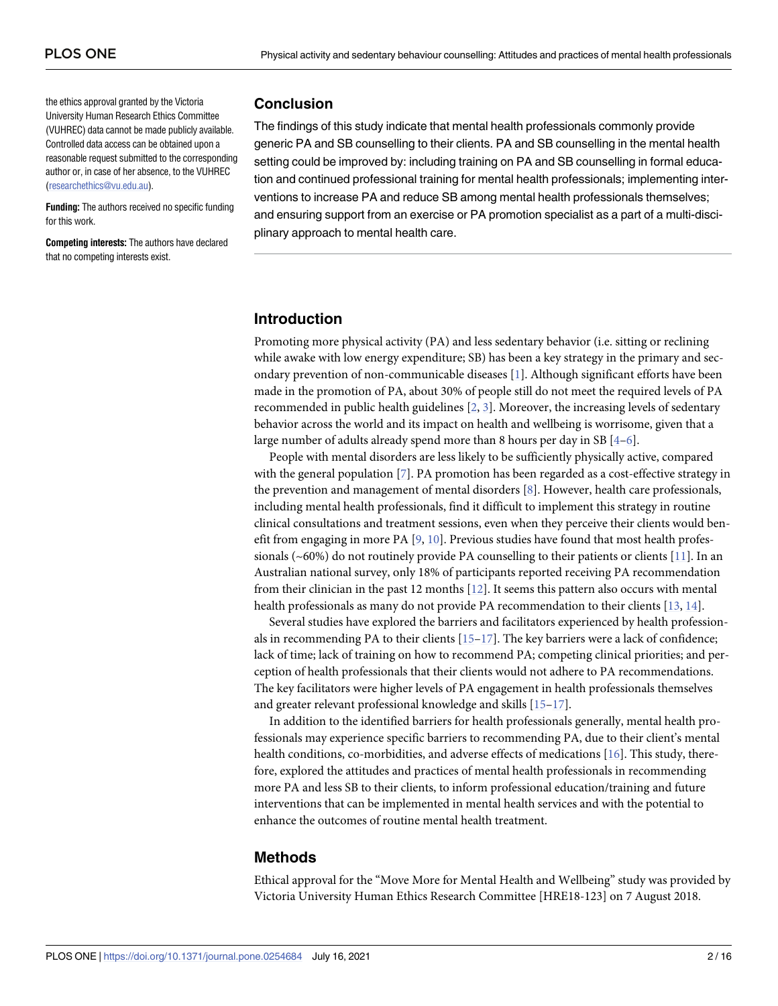<span id="page-1-0"></span>the ethics approval granted by the Victoria University Human Research Ethics Committee (VUHREC) data cannot be made publicly available. Controlled data access can be obtained upon a reasonable request submitted to the corresponding author or, in case of her absence, to the VUHREC [\(researchethics@vu.edu.au\)](mailto:researchethics@vu.edu.au).

**Funding:** The authors received no specific funding for this work.

**Competing interests:** The authors have declared that no competing interests exist.

# **Conclusion**

The findings of this study indicate that mental health professionals commonly provide generic PA and SB counselling to their clients. PA and SB counselling in the mental health setting could be improved by: including training on PA and SB counselling in formal education and continued professional training for mental health professionals; implementing interventions to increase PA and reduce SB among mental health professionals themselves; and ensuring support from an exercise or PA promotion specialist as a part of a multi-disciplinary approach to mental health care.

# **Introduction**

Promoting more physical activity (PA) and less sedentary behavior (i.e. sitting or reclining while awake with low energy expenditure; SB) has been a key strategy in the primary and secondary prevention of non-communicable diseases [\[1\]](#page-12-0). Although significant efforts have been made in the promotion of PA, about 30% of people still do not meet the required levels of PA recommended in public health guidelines [[2,](#page-12-0) [3\]](#page-12-0). Moreover, the increasing levels of sedentary behavior across the world and its impact on health and wellbeing is worrisome, given that a large number of adults already spend more than 8 hours per day in SB  $[4-6]$  $[4-6]$ .

People with mental disorders are less likely to be sufficiently physically active, compared with the general population [\[7](#page-13-0)]. PA promotion has been regarded as a cost-effective strategy in the prevention and management of mental disorders [\[8\]](#page-13-0). However, health care professionals, including mental health professionals, find it difficult to implement this strategy in routine clinical consultations and treatment sessions, even when they perceive their clients would benefit from engaging in more PA  $[9, 10]$  $[9, 10]$  $[9, 10]$ . Previous studies have found that most health professionals  $({\sim}60\%)$  do not routinely provide PA counselling to their patients or clients [[11](#page-13-0)]. In an Australian national survey, only 18% of participants reported receiving PA recommendation from their clinician in the past 12 months [[12](#page-13-0)]. It seems this pattern also occurs with mental health professionals as many do not provide PA recommendation to their clients [[13](#page-13-0), [14](#page-13-0)].

Several studies have explored the barriers and facilitators experienced by health professionals in recommending PA to their clients  $[15-17]$  $[15-17]$  $[15-17]$  $[15-17]$  $[15-17]$ . The key barriers were a lack of confidence; lack of time; lack of training on how to recommend PA; competing clinical priorities; and perception of health professionals that their clients would not adhere to PA recommendations. The key facilitators were higher levels of PA engagement in health professionals themselves and greater relevant professional knowledge and skills [\[15–17](#page-13-0)].

In addition to the identified barriers for health professionals generally, mental health professionals may experience specific barriers to recommending PA, due to their client's mental health conditions, co-morbidities, and adverse effects of medications [\[16\]](#page-13-0). This study, therefore, explored the attitudes and practices of mental health professionals in recommending more PA and less SB to their clients, to inform professional education/training and future interventions that can be implemented in mental health services and with the potential to enhance the outcomes of routine mental health treatment.

# **Methods**

Ethical approval for the "Move More for Mental Health and Wellbeing" study was provided by Victoria University Human Ethics Research Committee [HRE18-123] on 7 August 2018.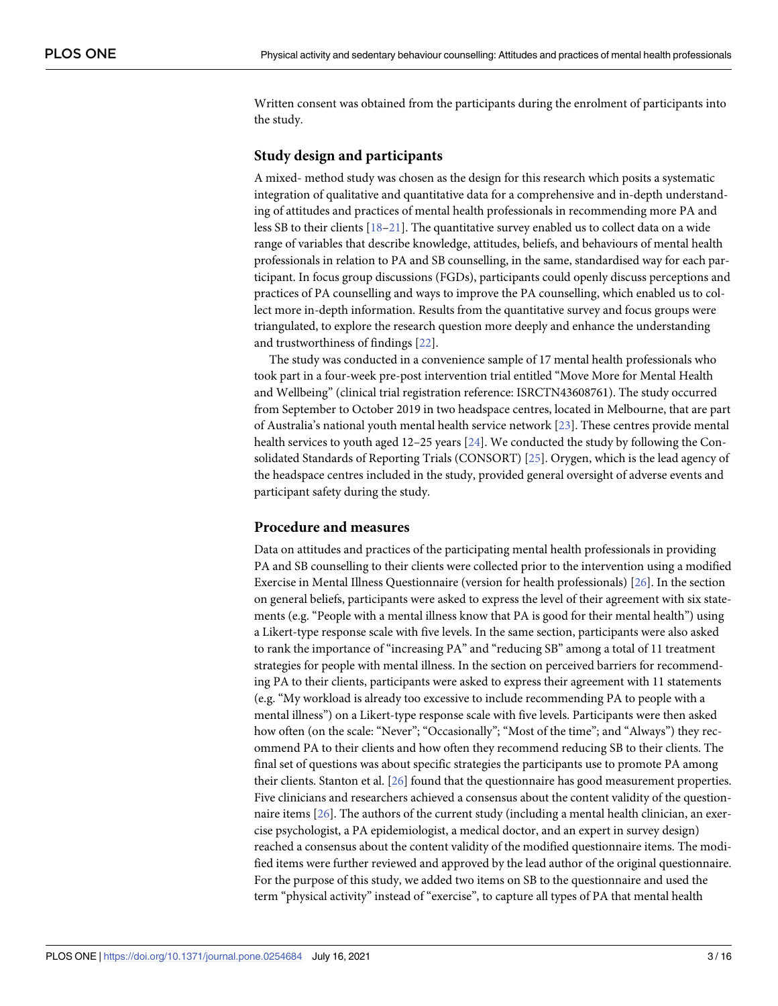<span id="page-2-0"></span>Written consent was obtained from the participants during the enrolment of participants into the study.

# **Study design and participants**

A mixed- method study was chosen as the design for this research which posits a systematic integration of qualitative and quantitative data for a comprehensive and in-depth understanding of attitudes and practices of mental health professionals in recommending more PA and less SB to their clients [[18–21\]](#page-13-0). The quantitative survey enabled us to collect data on a wide range of variables that describe knowledge, attitudes, beliefs, and behaviours of mental health professionals in relation to PA and SB counselling, in the same, standardised way for each participant. In focus group discussions (FGDs), participants could openly discuss perceptions and practices of PA counselling and ways to improve the PA counselling, which enabled us to collect more in-depth information. Results from the quantitative survey and focus groups were triangulated, to explore the research question more deeply and enhance the understanding and trustworthiness of findings [\[22\]](#page-13-0).

The study was conducted in a convenience sample of 17 mental health professionals who took part in a four-week pre-post intervention trial entitled "Move More for Mental Health and Wellbeing" (clinical trial registration reference: ISRCTN43608761). The study occurred from September to October 2019 in two headspace centres, located in Melbourne, that are part of Australia's national youth mental health service network [[23](#page-13-0)]. These centres provide mental health services to youth aged 12–25 years [[24](#page-14-0)]. We conducted the study by following the Consolidated Standards of Reporting Trials (CONSORT) [\[25\]](#page-14-0). Orygen, which is the lead agency of the headspace centres included in the study, provided general oversight of adverse events and participant safety during the study.

#### **Procedure and measures**

Data on attitudes and practices of the participating mental health professionals in providing PA and SB counselling to their clients were collected prior to the intervention using a modified Exercise in Mental Illness Questionnaire (version for health professionals) [[26](#page-14-0)]. In the section on general beliefs, participants were asked to express the level of their agreement with six statements (e.g. "People with a mental illness know that PA is good for their mental health") using a Likert-type response scale with five levels. In the same section, participants were also asked to rank the importance of "increasing PA" and "reducing SB" among a total of 11 treatment strategies for people with mental illness. In the section on perceived barriers for recommending PA to their clients, participants were asked to express their agreement with 11 statements (e.g. "My workload is already too excessive to include recommending PA to people with a mental illness") on a Likert-type response scale with five levels. Participants were then asked how often (on the scale: "Never"; "Occasionally"; "Most of the time"; and "Always") they recommend PA to their clients and how often they recommend reducing SB to their clients. The final set of questions was about specific strategies the participants use to promote PA among their clients. Stanton et al. [\[26\]](#page-14-0) found that the questionnaire has good measurement properties. Five clinicians and researchers achieved a consensus about the content validity of the questionnaire items [[26](#page-14-0)]. The authors of the current study (including a mental health clinician, an exercise psychologist, a PA epidemiologist, a medical doctor, and an expert in survey design) reached a consensus about the content validity of the modified questionnaire items. The modified items were further reviewed and approved by the lead author of the original questionnaire. For the purpose of this study, we added two items on SB to the questionnaire and used the term "physical activity" instead of "exercise", to capture all types of PA that mental health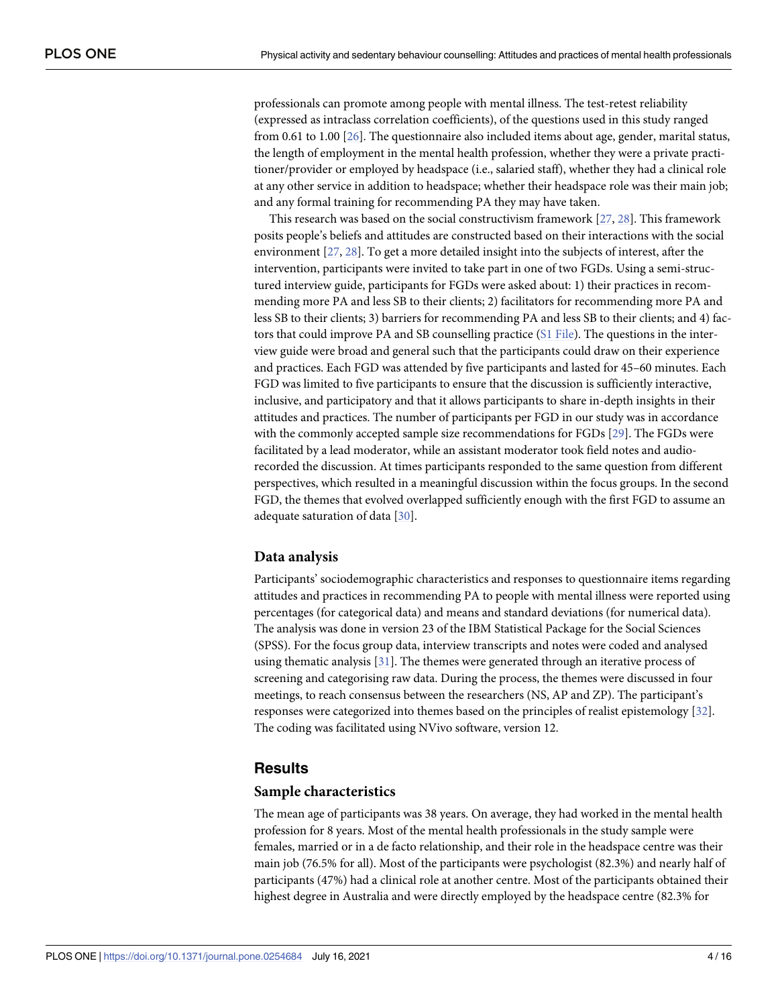<span id="page-3-0"></span>professionals can promote among people with mental illness. The test-retest reliability (expressed as intraclass correlation coefficients), of the questions used in this study ranged from 0.61 to 1.00 [\[26\]](#page-14-0). The questionnaire also included items about age, gender, marital status, the length of employment in the mental health profession, whether they were a private practitioner/provider or employed by headspace (i.e., salaried staff), whether they had a clinical role at any other service in addition to headspace; whether their headspace role was their main job; and any formal training for recommending PA they may have taken.

This research was based on the social constructivism framework [\[27,](#page-14-0) [28\]](#page-14-0). This framework posits people's beliefs and attitudes are constructed based on their interactions with the social environment [[27](#page-14-0), [28](#page-14-0)]. To get a more detailed insight into the subjects of interest, after the intervention, participants were invited to take part in one of two FGDs. Using a semi-structured interview guide, participants for FGDs were asked about: 1) their practices in recommending more PA and less SB to their clients; 2) facilitators for recommending more PA and less SB to their clients; 3) barriers for recommending PA and less SB to their clients; and 4) factors that could improve PA and SB counselling practice (S1 [File\)](#page-12-0). The questions in the interview guide were broad and general such that the participants could draw on their experience and practices. Each FGD was attended by five participants and lasted for 45–60 minutes. Each FGD was limited to five participants to ensure that the discussion is sufficiently interactive, inclusive, and participatory and that it allows participants to share in-depth insights in their attitudes and practices. The number of participants per FGD in our study was in accordance with the commonly accepted sample size recommendations for FGDs [\[29](#page-14-0)]. The FGDs were facilitated by a lead moderator, while an assistant moderator took field notes and audiorecorded the discussion. At times participants responded to the same question from different perspectives, which resulted in a meaningful discussion within the focus groups. In the second FGD, the themes that evolved overlapped sufficiently enough with the first FGD to assume an adequate saturation of data [\[30\]](#page-14-0).

## **Data analysis**

Participants' sociodemographic characteristics and responses to questionnaire items regarding attitudes and practices in recommending PA to people with mental illness were reported using percentages (for categorical data) and means and standard deviations (for numerical data). The analysis was done in version 23 of the IBM Statistical Package for the Social Sciences (SPSS). For the focus group data, interview transcripts and notes were coded and analysed using thematic analysis  $[31]$  $[31]$  $[31]$ . The themes were generated through an iterative process of screening and categorising raw data. During the process, the themes were discussed in four meetings, to reach consensus between the researchers (NS, AP and ZP). The participant's responses were categorized into themes based on the principles of realist epistemology [[32](#page-14-0)]. The coding was facilitated using NVivo software, version 12.

# **Results**

#### **Sample characteristics**

The mean age of participants was 38 years. On average, they had worked in the mental health profession for 8 years. Most of the mental health professionals in the study sample were females, married or in a de facto relationship, and their role in the headspace centre was their main job (76.5% for all). Most of the participants were psychologist (82.3%) and nearly half of participants (47%) had a clinical role at another centre. Most of the participants obtained their highest degree in Australia and were directly employed by the headspace centre (82.3% for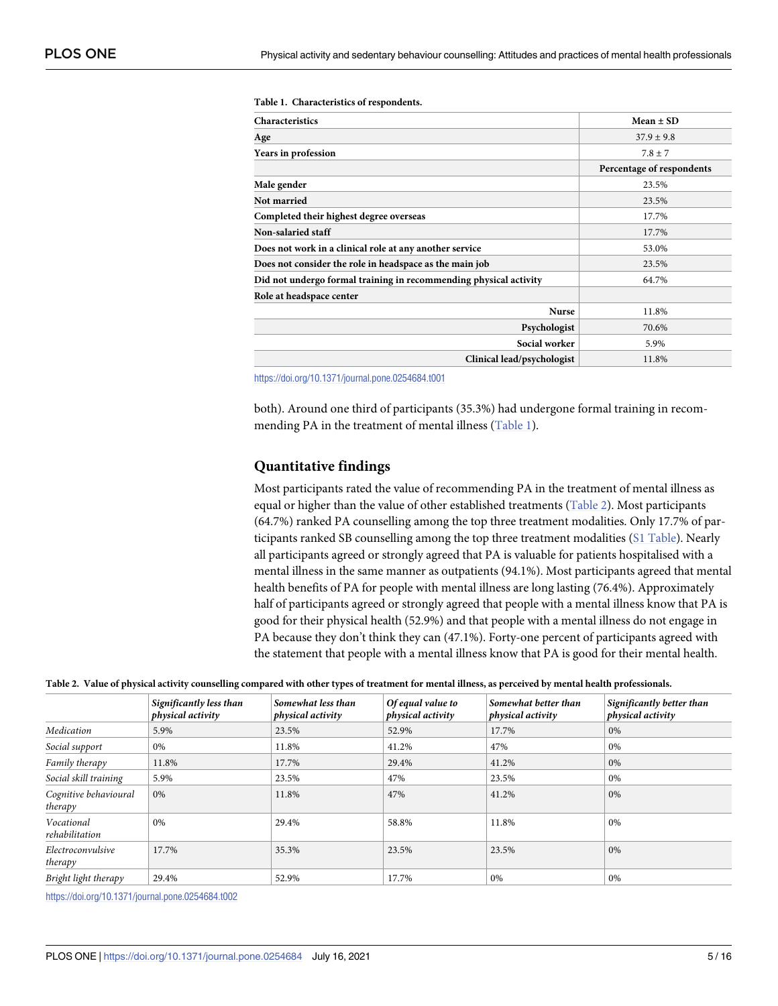| Characteristics                                                   | $Mean \pm SD$             |
|-------------------------------------------------------------------|---------------------------|
| Age                                                               | $37.9 \pm 9.8$            |
| Years in profession                                               | $7.8 \pm 7$               |
|                                                                   | Percentage of respondents |
| Male gender                                                       | 23.5%                     |
| Not married                                                       | 23.5%                     |
| Completed their highest degree overseas                           | 17.7%                     |
| Non-salaried staff                                                | 17.7%                     |
| Does not work in a clinical role at any another service           | 53.0%                     |
| Does not consider the role in headspace as the main job           | 23.5%                     |
| Did not undergo formal training in recommending physical activity | 64.7%                     |
| Role at headspace center                                          |                           |
| <b>Nurse</b>                                                      | 11.8%                     |
| Psychologist                                                      | 70.6%                     |
| Social worker                                                     | 5.9%                      |
| Clinical lead/psychologist                                        | 11.8%                     |

**Table 1. Characteristics of respondents.**

<https://doi.org/10.1371/journal.pone.0254684.t001>

both). Around one third of participants (35.3%) had undergone formal training in recommending PA in the treatment of mental illness (Table 1).

# **Quantitative findings**

Most participants rated the value of recommending PA in the treatment of mental illness as equal or higher than the value of other established treatments (Table 2). Most participants (64.7%) ranked PA counselling among the top three treatment modalities. Only 17.7% of participants ranked SB counselling among the top three treatment modalities (S1 [Table](#page-12-0)). Nearly all participants agreed or strongly agreed that PA is valuable for patients hospitalised with a mental illness in the same manner as outpatients (94.1%). Most participants agreed that mental health benefits of PA for people with mental illness are long lasting (76.4%). Approximately half of participants agreed or strongly agreed that people with a mental illness know that PA is good for their physical health (52.9%) and that people with a mental illness do not engage in PA because they don't think they can (47.1%). Forty-one percent of participants agreed with the statement that people with a mental illness know that PA is good for their mental health.

|  |  |  |  | Table 2. Value of physical activity counselling compared with other types of treatment for mental illness, as perceived by mental health professionals. |  |
|--|--|--|--|---------------------------------------------------------------------------------------------------------------------------------------------------------|--|
|--|--|--|--|---------------------------------------------------------------------------------------------------------------------------------------------------------|--|

|                                  | Significantly less than<br>physical activity | Somewhat less than<br>physical activity | Of equal value to<br>physical activity | Somewhat better than<br>physical activity | Significantly better than<br>physical activity |
|----------------------------------|----------------------------------------------|-----------------------------------------|----------------------------------------|-------------------------------------------|------------------------------------------------|
| Medication                       | 5.9%                                         | 23.5%                                   | 52.9%                                  | 17.7%                                     | 0%                                             |
| Social support                   | 0%                                           | 11.8%                                   | 41.2%                                  | 47%                                       | 0%                                             |
| Family therapy                   | 11.8%                                        | 17.7%                                   | 29.4%                                  | 41.2%                                     | 0%                                             |
| Social skill training            | 5.9%                                         | 23.5%                                   | 47%                                    | 23.5%                                     | 0%                                             |
| Cognitive behavioural<br>therapy | 0%                                           | 11.8%                                   | 47%                                    | 41.2%                                     | 0%                                             |
| Vocational<br>rehabilitation     | 0%                                           | 29.4%                                   | 58.8%                                  | 11.8%                                     | 0%                                             |
| Electroconvulsive<br>therapy     | 17.7%                                        | 35.3%                                   | 23.5%                                  | 23.5%                                     | 0%                                             |
| Bright light therapy             | 29.4%                                        | 52.9%                                   | 17.7%                                  | 0%                                        | 0%                                             |

<https://doi.org/10.1371/journal.pone.0254684.t002>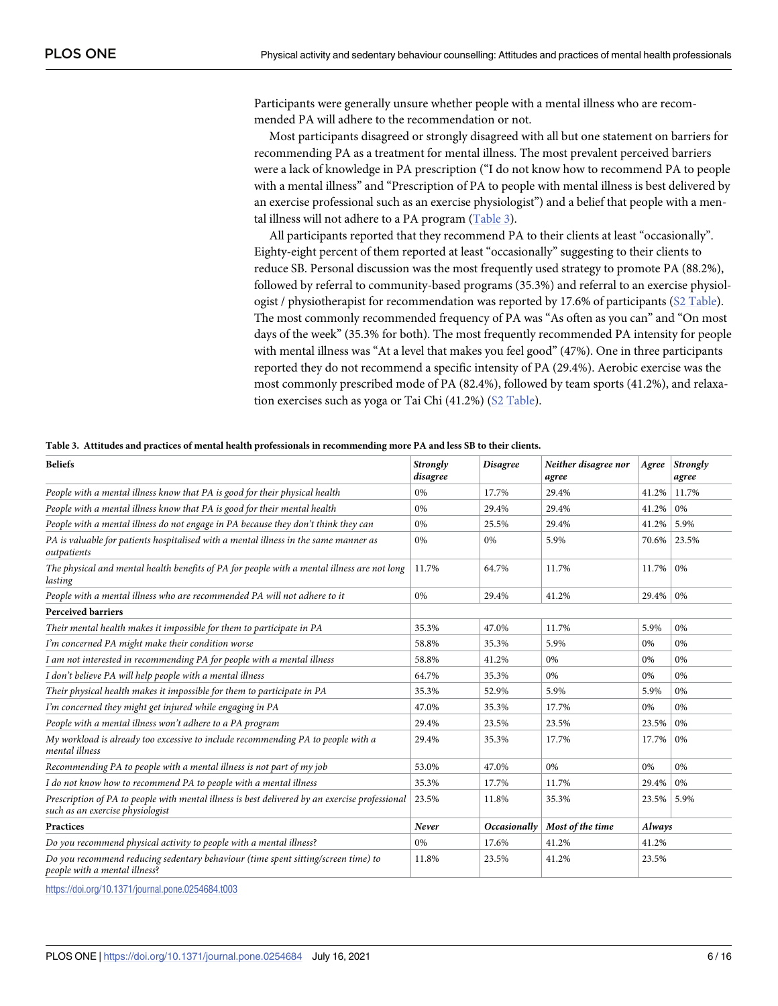Participants were generally unsure whether people with a mental illness who are recommended PA will adhere to the recommendation or not.

Most participants disagreed or strongly disagreed with all but one statement on barriers for recommending PA as a treatment for mental illness. The most prevalent perceived barriers were a lack of knowledge in PA prescription ("I do not know how to recommend PA to people with a mental illness" and "Prescription of PA to people with mental illness is best delivered by an exercise professional such as an exercise physiologist") and a belief that people with a mental illness will not adhere to a PA program (Table 3).

All participants reported that they recommend PA to their clients at least "occasionally". Eighty-eight percent of them reported at least "occasionally" suggesting to their clients to reduce SB. Personal discussion was the most frequently used strategy to promote PA (88.2%), followed by referral to community-based programs (35.3%) and referral to an exercise physiologist / physiotherapist for recommendation was reported by 17.6% of participants (S2 [Table](#page-12-0)). The most commonly recommended frequency of PA was "As often as you can" and "On most days of the week" (35.3% for both). The most frequently recommended PA intensity for people with mental illness was "At a level that makes you feel good" (47%). One in three participants reported they do not recommend a specific intensity of PA (29.4%). Aerobic exercise was the most commonly prescribed mode of PA (82.4%), followed by team sports (41.2%), and relaxation exercises such as yoga or Tai Chi (41.2%) (S2 [Table\)](#page-12-0).

| <b>Beliefs</b>                                                                                                                     | Strongly<br>disagree | <b>Disagree</b> | Neither disagree nor<br>agree | Agree  | Strongly<br>agree |
|------------------------------------------------------------------------------------------------------------------------------------|----------------------|-----------------|-------------------------------|--------|-------------------|
| People with a mental illness know that PA is good for their physical health                                                        | 0%                   | 17.7%           | 29.4%                         | 41.2%  | 11.7%             |
| People with a mental illness know that PA is good for their mental health                                                          | 0%                   | 29.4%           | 29.4%                         | 41.2%  | 0%                |
| People with a mental illness do not engage in PA because they don't think they can                                                 | 0%                   | 25.5%           | 29.4%                         | 41.2%  | 5.9%              |
| PA is valuable for patients hospitalised with a mental illness in the same manner as<br>outpatients                                | 0%                   | 0%              | 5.9%                          | 70.6%  | 23.5%             |
| The physical and mental health benefits of PA for people with a mental illness are not long<br>lasting                             | 11.7%                | 64.7%           | 11.7%                         | 11.7%  | 0%                |
| People with a mental illness who are recommended PA will not adhere to it                                                          | $0\%$                | 29.4%           | 41.2%                         | 29.4%  | $0\%$             |
| <b>Perceived barriers</b>                                                                                                          |                      |                 |                               |        |                   |
| Their mental health makes it impossible for them to participate in PA                                                              | 35.3%                | 47.0%           | 11.7%                         | 5.9%   | 0%                |
| I'm concerned PA might make their condition worse                                                                                  | 58.8%                | 35.3%           | 5.9%                          | 0%     | 0%                |
| I am not interested in recommending PA for people with a mental illness                                                            | 58.8%                | 41.2%           | 0%                            | 0%     | 0%                |
| I don't believe PA will help people with a mental illness                                                                          | 64.7%                | 35.3%           | 0%                            | 0%     | 0%                |
| Their physical health makes it impossible for them to participate in PA                                                            | 35.3%                | 52.9%           | 5.9%                          | 5.9%   | 0%                |
| I'm concerned they might get injured while engaging in PA                                                                          | 47.0%                | 35.3%           | 17.7%                         | 0%     | 0%                |
| People with a mental illness won't adhere to a PA program                                                                          | 29.4%                | 23.5%           | 23.5%                         | 23.5%  | 0%                |
| My workload is already too excessive to include recommending PA to people with a<br>mental illness                                 | 29.4%                | 35.3%           | 17.7%                         | 17.7%  | 0%                |
| Recommending PA to people with a mental illness is not part of my job                                                              | 53.0%                | 47.0%           | 0%                            | 0%     | 0%                |
| I do not know how to recommend PA to people with a mental illness                                                                  | 35.3%                | 17.7%           | 11.7%                         | 29.4%  | $0\%$             |
| Prescription of PA to people with mental illness is best delivered by an exercise professional<br>such as an exercise physiologist | 23.5%                | 11.8%           | 35.3%                         | 23.5%  | 5.9%              |
| <b>Practices</b>                                                                                                                   |                      | Occasionally    | Most of the time              | Always |                   |
| Do you recommend physical activity to people with a mental illness?                                                                | 0%                   | 17.6%           | 41.2%                         | 41.2%  |                   |
| Do you recommend reducing sedentary behaviour (time spent sitting/screen time) to<br>people with a mental illness?                 | 11.8%                | 23.5%           | 41.2%                         | 23.5%  |                   |

| Table 3. Attitudes and practices of mental health professionals in recommending more PA and less SB to their clients. |  |  |  |  |
|-----------------------------------------------------------------------------------------------------------------------|--|--|--|--|
|-----------------------------------------------------------------------------------------------------------------------|--|--|--|--|

<https://doi.org/10.1371/journal.pone.0254684.t003>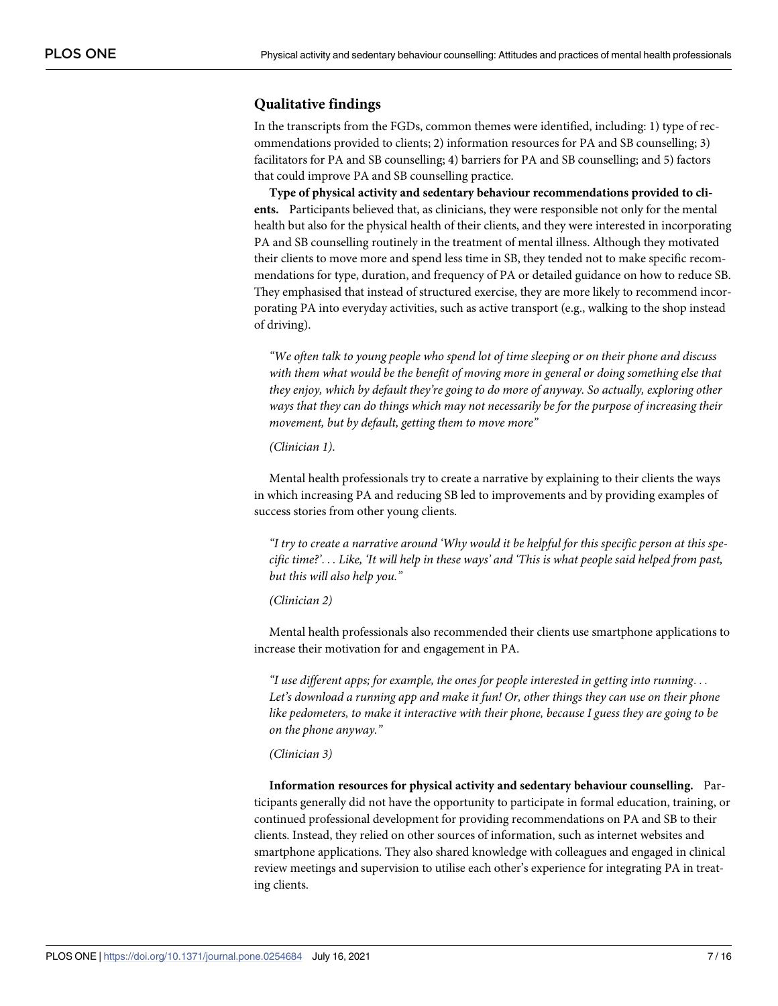# **Qualitative findings**

In the transcripts from the FGDs, common themes were identified, including: 1) type of recommendations provided to clients; 2) information resources for PA and SB counselling; 3) facilitators for PA and SB counselling; 4) barriers for PA and SB counselling; and 5) factors that could improve PA and SB counselling practice.

**Type of physical activity and sedentary behaviour recommendations provided to clients.** Participants believed that, as clinicians, they were responsible not only for the mental health but also for the physical health of their clients, and they were interested in incorporating PA and SB counselling routinely in the treatment of mental illness. Although they motivated their clients to move more and spend less time in SB, they tended not to make specific recommendations for type, duration, and frequency of PA or detailed guidance on how to reduce SB. They emphasised that instead of structured exercise, they are more likely to recommend incorporating PA into everyday activities, such as active transport (e.g., walking to the shop instead of driving).

*"We often talk to young people who spend lot of time sleeping or on their phone and discuss with them what would be the benefit of moving more in general or doing something else that they enjoy, which by default they're going to do more of anyway. So actually, exploring other ways that they can do things which may not necessarily be for the purpose of increasing their movement, but by default, getting them to move more"*

#### *(Clinician 1)*.

Mental health professionals try to create a narrative by explaining to their clients the ways in which increasing PA and reducing SB led to improvements and by providing examples of success stories from other young clients.

"I try to create a narrative around 'Why would it be helpful for this specific person at this specific time?'... Like, 'It will help in these ways' and 'This is what people said helped from past, *but this will also help you."*

#### *(Clinician 2)*

Mental health professionals also recommended their clients use smartphone applications to increase their motivation for and engagement in PA.

*"I use different apps; for example, the ones for people interested in getting into running*. . . *Let's download a running app and make it fun! Or, other things they can use on their phone like pedometers, to make it interactive with their phone, because I guess they are going to be on the phone anyway."*

#### *(Clinician 3)*

**Information resources for physical activity and sedentary behaviour counselling.** Participants generally did not have the opportunity to participate in formal education, training, or continued professional development for providing recommendations on PA and SB to their clients. Instead, they relied on other sources of information, such as internet websites and smartphone applications. They also shared knowledge with colleagues and engaged in clinical review meetings and supervision to utilise each other's experience for integrating PA in treating clients.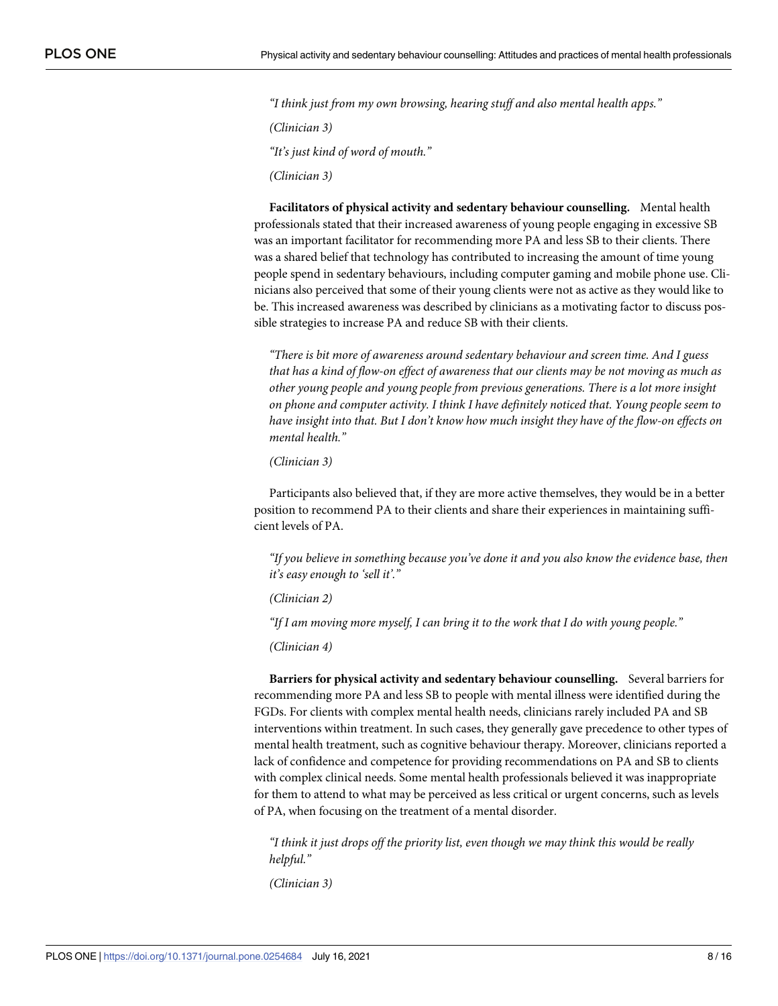*"I think just from my own browsing, hearing stuff and also mental health apps."*

*(Clinician 3)*

*"It's just kind of word of mouth."*

*(Clinician 3)*

**Facilitators of physical activity and sedentary behaviour counselling.** Mental health professionals stated that their increased awareness of young people engaging in excessive SB was an important facilitator for recommending more PA and less SB to their clients. There was a shared belief that technology has contributed to increasing the amount of time young people spend in sedentary behaviours, including computer gaming and mobile phone use. Clinicians also perceived that some of their young clients were not as active as they would like to be. This increased awareness was described by clinicians as a motivating factor to discuss possible strategies to increase PA and reduce SB with their clients.

*"There is bit more of awareness around sedentary behaviour and screen time. And I guess* that has a kind of flow-on effect of awareness that our clients may be not moving as much as *other young people and young people from previous generations. There is a lot more insight on phone and computer activity. I think I have definitely noticed that. Young people seem to have insight into that. But I don't know how much insight they have of the flow-on effects on mental health."*

*(Clinician 3)*

Participants also believed that, if they are more active themselves, they would be in a better position to recommend PA to their clients and share their experiences in maintaining sufficient levels of PA.

*"If you believe in something because you've done it and you also know the evidence base, then it's easy enough to 'sell it'."*

*(Clinician 2)*

*"If I am moving more myself, I can bring it to the work that I do with young people."*

*(Clinician 4)*

**Barriers for physical activity and sedentary behaviour counselling.** Several barriers for recommending more PA and less SB to people with mental illness were identified during the FGDs. For clients with complex mental health needs, clinicians rarely included PA and SB interventions within treatment. In such cases, they generally gave precedence to other types of mental health treatment, such as cognitive behaviour therapy. Moreover, clinicians reported a lack of confidence and competence for providing recommendations on PA and SB to clients with complex clinical needs. Some mental health professionals believed it was inappropriate for them to attend to what may be perceived as less critical or urgent concerns, such as levels of PA, when focusing on the treatment of a mental disorder.

*"I think it just drops off the priority list, even though we may think this would be really helpful."*

*(Clinician 3)*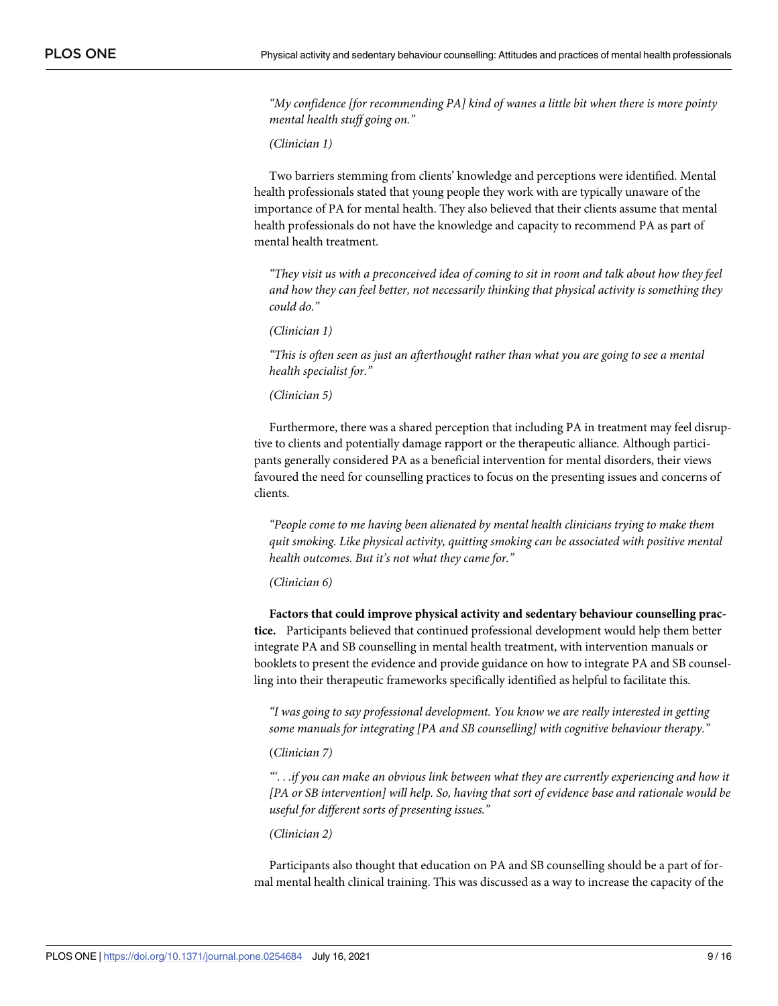*"My confidence [for recommending PA] kind of wanes a little bit when there is more pointy mental health stuff going on."*

*(Clinician 1)*

Two barriers stemming from clients' knowledge and perceptions were identified. Mental health professionals stated that young people they work with are typically unaware of the importance of PA for mental health. They also believed that their clients assume that mental health professionals do not have the knowledge and capacity to recommend PA as part of mental health treatment.

"They visit us with a preconceived idea of coming to sit in room and talk about how they feel *and how they can feel better, not necessarily thinking that physical activity is something they could do."*

*(Clinician 1)*

*"This is often seen as just an afterthought rather than what you are going to see a mental health specialist for."*

*(Clinician 5)*

Furthermore, there was a shared perception that including PA in treatment may feel disruptive to clients and potentially damage rapport or the therapeutic alliance. Although participants generally considered PA as a beneficial intervention for mental disorders, their views favoured the need for counselling practices to focus on the presenting issues and concerns of clients.

*"People come to me having been alienated by mental health clinicians trying to make them quit smoking. Like physical activity, quitting smoking can be associated with positive mental health outcomes. But it's not what they came for."*

*(Clinician 6)*

**Factors that could improve physical activity and sedentary behaviour counselling practice.** Participants believed that continued professional development would help them better integrate PA and SB counselling in mental health treatment, with intervention manuals or booklets to present the evidence and provide guidance on how to integrate PA and SB counselling into their therapeutic frameworks specifically identified as helpful to facilitate this.

*"I was going to say professional development. You know we are really interested in getting some manuals for integrating [PA and SB counselling] with cognitive behaviour therapy."*

(*Clinician 7)*

*"'*. . .*if you can make an obvious link between what they are currently experiencing and how it [PA or SB intervention] will help. So, having that sort of evidence base and rationale would be useful for different sorts of presenting issues."*

*(Clinician 2)*

Participants also thought that education on PA and SB counselling should be a part of formal mental health clinical training. This was discussed as a way to increase the capacity of the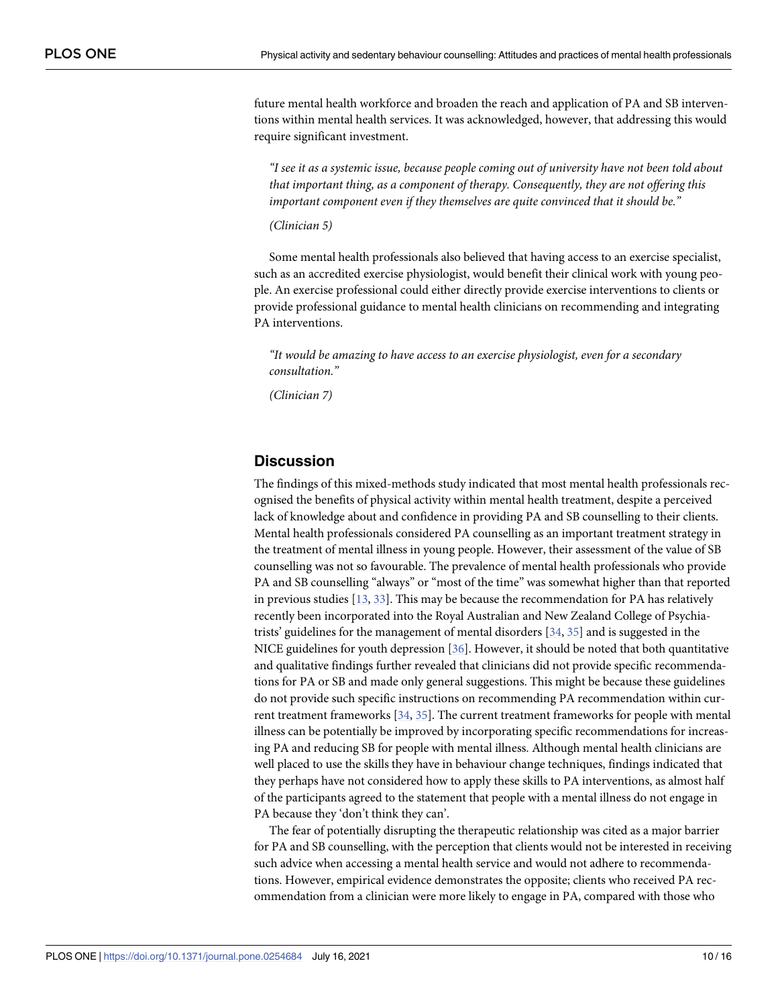<span id="page-9-0"></span>future mental health workforce and broaden the reach and application of PA and SB interventions within mental health services. It was acknowledged, however, that addressing this would require significant investment.

*"I see it as a systemic issue, because people coming out of university have not been told about that important thing, as a component of therapy. Consequently, they are not offering this important component even if they themselves are quite convinced that it should be."*

*(Clinician 5)*

Some mental health professionals also believed that having access to an exercise specialist, such as an accredited exercise physiologist, would benefit their clinical work with young people. An exercise professional could either directly provide exercise interventions to clients or provide professional guidance to mental health clinicians on recommending and integrating PA interventions.

*"It would be amazing to have access to an exercise physiologist, even for a secondary consultation."*

*(Clinician 7)*

# **Discussion**

The findings of this mixed-methods study indicated that most mental health professionals recognised the benefits of physical activity within mental health treatment, despite a perceived lack of knowledge about and confidence in providing PA and SB counselling to their clients. Mental health professionals considered PA counselling as an important treatment strategy in the treatment of mental illness in young people. However, their assessment of the value of SB counselling was not so favourable. The prevalence of mental health professionals who provide PA and SB counselling "always" or "most of the time" was somewhat higher than that reported in previous studies [\[13,](#page-13-0) [33\]](#page-14-0). This may be because the recommendation for PA has relatively recently been incorporated into the Royal Australian and New Zealand College of Psychiatrists' guidelines for the management of mental disorders [\[34,](#page-14-0) [35\]](#page-14-0) and is suggested in the NICE guidelines for youth depression [\[36](#page-14-0)]. However, it should be noted that both quantitative and qualitative findings further revealed that clinicians did not provide specific recommendations for PA or SB and made only general suggestions. This might be because these guidelines do not provide such specific instructions on recommending PA recommendation within current treatment frameworks [\[34,](#page-14-0) [35\]](#page-14-0). The current treatment frameworks for people with mental illness can be potentially be improved by incorporating specific recommendations for increasing PA and reducing SB for people with mental illness. Although mental health clinicians are well placed to use the skills they have in behaviour change techniques, findings indicated that they perhaps have not considered how to apply these skills to PA interventions, as almost half of the participants agreed to the statement that people with a mental illness do not engage in PA because they 'don't think they can'.

The fear of potentially disrupting the therapeutic relationship was cited as a major barrier for PA and SB counselling, with the perception that clients would not be interested in receiving such advice when accessing a mental health service and would not adhere to recommendations. However, empirical evidence demonstrates the opposite; clients who received PA recommendation from a clinician were more likely to engage in PA, compared with those who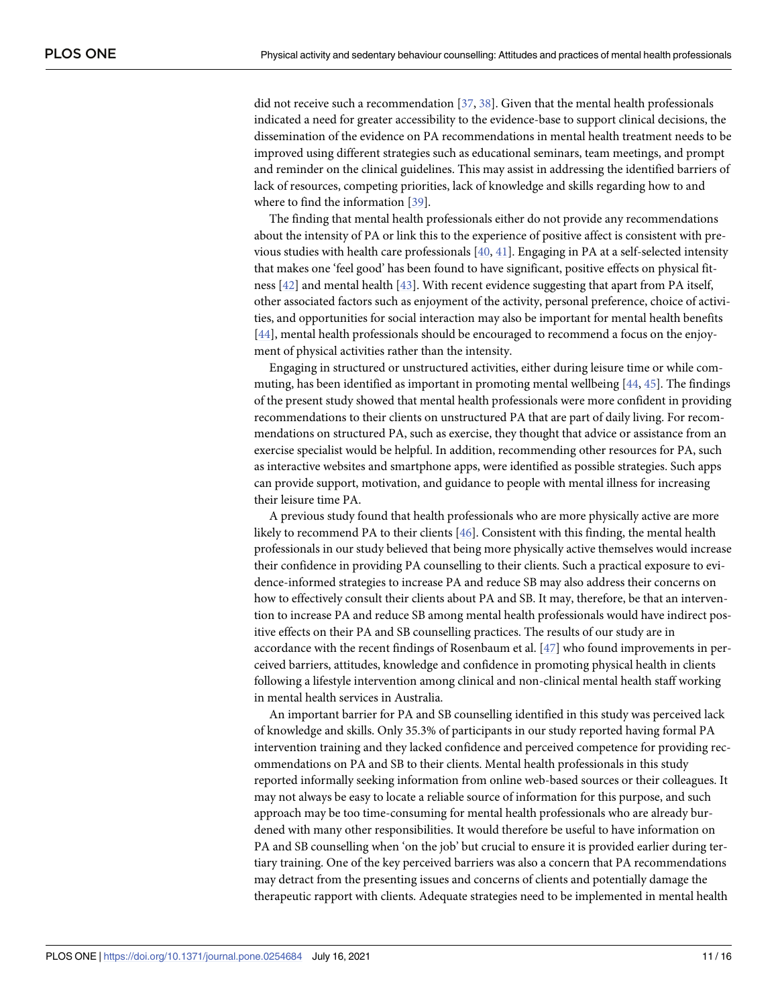<span id="page-10-0"></span>did not receive such a recommendation [\[37,](#page-14-0) [38\]](#page-14-0). Given that the mental health professionals indicated a need for greater accessibility to the evidence-base to support clinical decisions, the dissemination of the evidence on PA recommendations in mental health treatment needs to be improved using different strategies such as educational seminars, team meetings, and prompt and reminder on the clinical guidelines. This may assist in addressing the identified barriers of lack of resources, competing priorities, lack of knowledge and skills regarding how to and where to find the information [\[39\]](#page-14-0).

The finding that mental health professionals either do not provide any recommendations about the intensity of PA or link this to the experience of positive affect is consistent with previous studies with health care professionals [\[40,](#page-14-0) [41\]](#page-14-0). Engaging in PA at a self-selected intensity that makes one 'feel good' has been found to have significant, positive effects on physical fitness [[42](#page-14-0)] and mental health [\[43\]](#page-14-0). With recent evidence suggesting that apart from PA itself, other associated factors such as enjoyment of the activity, personal preference, choice of activities, and opportunities for social interaction may also be important for mental health benefits [\[44\]](#page-15-0), mental health professionals should be encouraged to recommend a focus on the enjoyment of physical activities rather than the intensity.

Engaging in structured or unstructured activities, either during leisure time or while commuting, has been identified as important in promoting mental wellbeing [\[44,](#page-15-0) [45\]](#page-15-0). The findings of the present study showed that mental health professionals were more confident in providing recommendations to their clients on unstructured PA that are part of daily living. For recommendations on structured PA, such as exercise, they thought that advice or assistance from an exercise specialist would be helpful. In addition, recommending other resources for PA, such as interactive websites and smartphone apps, were identified as possible strategies. Such apps can provide support, motivation, and guidance to people with mental illness for increasing their leisure time PA.

A previous study found that health professionals who are more physically active are more likely to recommend PA to their clients [[46](#page-15-0)]. Consistent with this finding, the mental health professionals in our study believed that being more physically active themselves would increase their confidence in providing PA counselling to their clients. Such a practical exposure to evidence-informed strategies to increase PA and reduce SB may also address their concerns on how to effectively consult their clients about PA and SB. It may, therefore, be that an intervention to increase PA and reduce SB among mental health professionals would have indirect positive effects on their PA and SB counselling practices. The results of our study are in accordance with the recent findings of Rosenbaum et al. [\[47](#page-15-0)] who found improvements in perceived barriers, attitudes, knowledge and confidence in promoting physical health in clients following a lifestyle intervention among clinical and non-clinical mental health staff working in mental health services in Australia.

An important barrier for PA and SB counselling identified in this study was perceived lack of knowledge and skills. Only 35.3% of participants in our study reported having formal PA intervention training and they lacked confidence and perceived competence for providing recommendations on PA and SB to their clients. Mental health professionals in this study reported informally seeking information from online web-based sources or their colleagues. It may not always be easy to locate a reliable source of information for this purpose, and such approach may be too time-consuming for mental health professionals who are already burdened with many other responsibilities. It would therefore be useful to have information on PA and SB counselling when 'on the job' but crucial to ensure it is provided earlier during tertiary training. One of the key perceived barriers was also a concern that PA recommendations may detract from the presenting issues and concerns of clients and potentially damage the therapeutic rapport with clients. Adequate strategies need to be implemented in mental health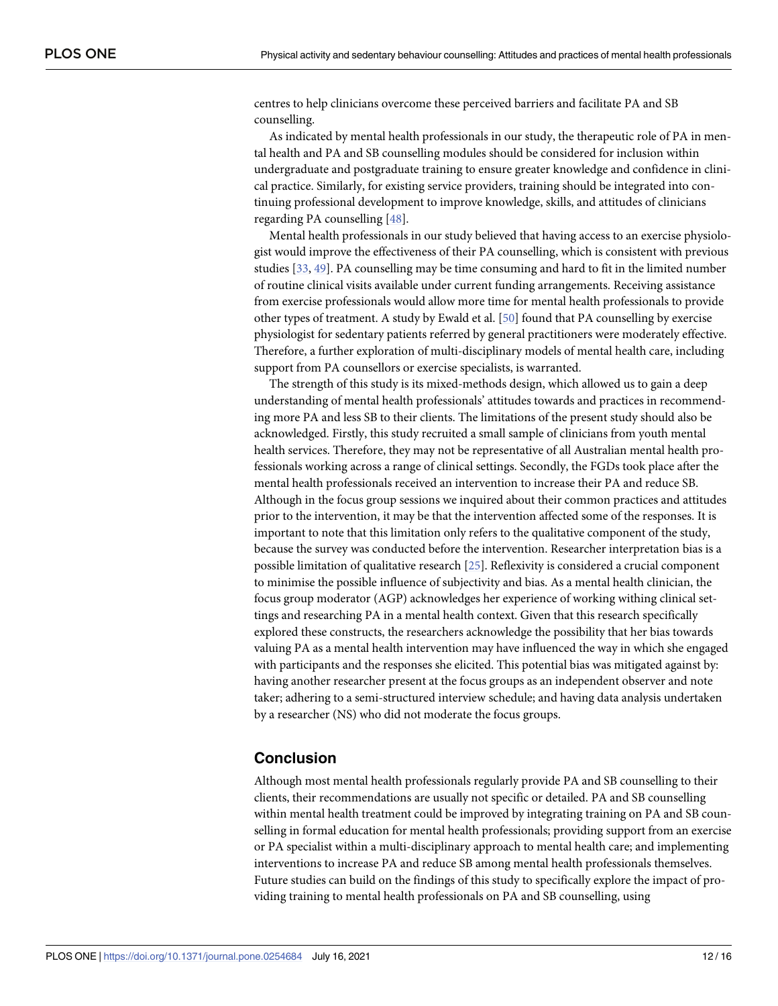<span id="page-11-0"></span>centres to help clinicians overcome these perceived barriers and facilitate PA and SB counselling.

As indicated by mental health professionals in our study, the therapeutic role of PA in mental health and PA and SB counselling modules should be considered for inclusion within undergraduate and postgraduate training to ensure greater knowledge and confidence in clinical practice. Similarly, for existing service providers, training should be integrated into continuing professional development to improve knowledge, skills, and attitudes of clinicians regarding PA counselling [[48](#page-15-0)].

Mental health professionals in our study believed that having access to an exercise physiologist would improve the effectiveness of their PA counselling, which is consistent with previous studies [\[33,](#page-14-0) [49\]](#page-15-0). PA counselling may be time consuming and hard to fit in the limited number of routine clinical visits available under current funding arrangements. Receiving assistance from exercise professionals would allow more time for mental health professionals to provide other types of treatment. A study by Ewald et al. [[50](#page-15-0)] found that PA counselling by exercise physiologist for sedentary patients referred by general practitioners were moderately effective. Therefore, a further exploration of multi-disciplinary models of mental health care, including support from PA counsellors or exercise specialists, is warranted.

The strength of this study is its mixed-methods design, which allowed us to gain a deep understanding of mental health professionals' attitudes towards and practices in recommending more PA and less SB to their clients. The limitations of the present study should also be acknowledged. Firstly, this study recruited a small sample of clinicians from youth mental health services. Therefore, they may not be representative of all Australian mental health professionals working across a range of clinical settings. Secondly, the FGDs took place after the mental health professionals received an intervention to increase their PA and reduce SB. Although in the focus group sessions we inquired about their common practices and attitudes prior to the intervention, it may be that the intervention affected some of the responses. It is important to note that this limitation only refers to the qualitative component of the study, because the survey was conducted before the intervention. Researcher interpretation bias is a possible limitation of qualitative research [[25](#page-14-0)]. Reflexivity is considered a crucial component to minimise the possible influence of subjectivity and bias. As a mental health clinician, the focus group moderator (AGP) acknowledges her experience of working withing clinical settings and researching PA in a mental health context. Given that this research specifically explored these constructs, the researchers acknowledge the possibility that her bias towards valuing PA as a mental health intervention may have influenced the way in which she engaged with participants and the responses she elicited. This potential bias was mitigated against by: having another researcher present at the focus groups as an independent observer and note taker; adhering to a semi-structured interview schedule; and having data analysis undertaken by a researcher (NS) who did not moderate the focus groups.

# **Conclusion**

Although most mental health professionals regularly provide PA and SB counselling to their clients, their recommendations are usually not specific or detailed. PA and SB counselling within mental health treatment could be improved by integrating training on PA and SB counselling in formal education for mental health professionals; providing support from an exercise or PA specialist within a multi-disciplinary approach to mental health care; and implementing interventions to increase PA and reduce SB among mental health professionals themselves. Future studies can build on the findings of this study to specifically explore the impact of providing training to mental health professionals on PA and SB counselling, using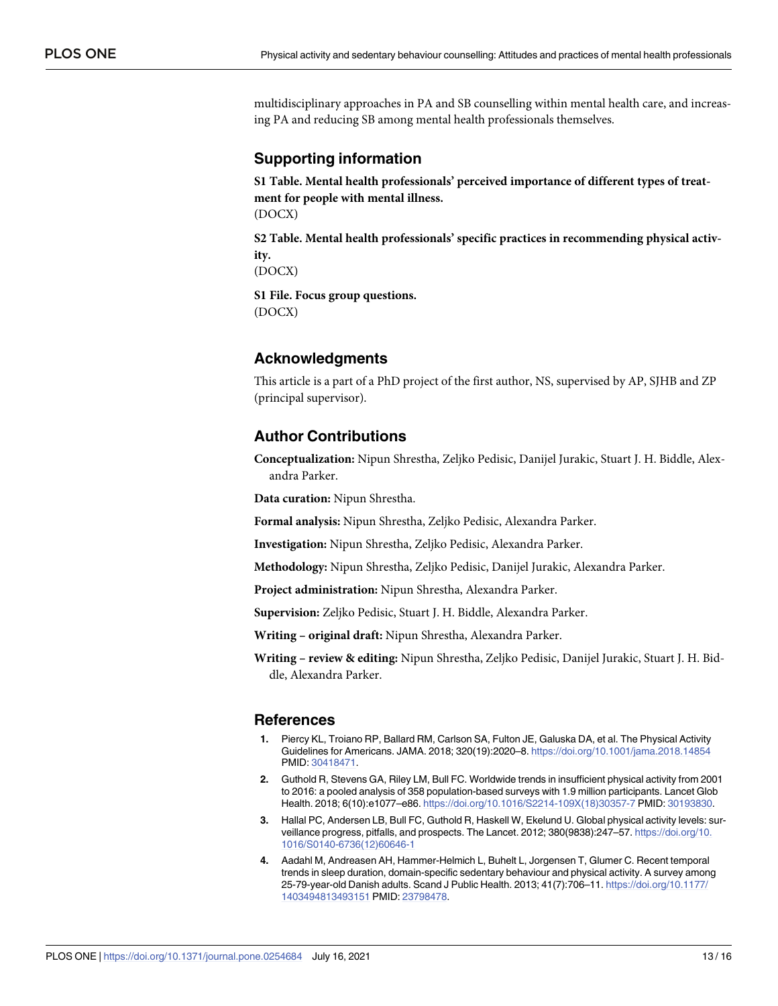<span id="page-12-0"></span>multidisciplinary approaches in PA and SB counselling within mental health care, and increasing PA and reducing SB among mental health professionals themselves.

# **Supporting information**

**S1 [Table.](http://www.plosone.org/article/fetchSingleRepresentation.action?uri=info:doi/10.1371/journal.pone.0254684.s001) Mental health professionals' perceived importance of different types of treatment for people with mental illness.** (DOCX)

**S2 [Table.](http://www.plosone.org/article/fetchSingleRepresentation.action?uri=info:doi/10.1371/journal.pone.0254684.s002) Mental health professionals' specific practices in recommending physical activity.**

(DOCX)

**S1 [File.](http://www.plosone.org/article/fetchSingleRepresentation.action?uri=info:doi/10.1371/journal.pone.0254684.s003) Focus group questions.** (DOCX)

# **Acknowledgments**

This article is a part of a PhD project of the first author, NS, supervised by AP, SJHB and ZP (principal supervisor).

# **Author Contributions**

**Conceptualization:** Nipun Shrestha, Zeljko Pedisic, Danijel Jurakic, Stuart J. H. Biddle, Alexandra Parker.

**Data curation:** Nipun Shrestha.

**Formal analysis:** Nipun Shrestha, Zeljko Pedisic, Alexandra Parker.

**Investigation:** Nipun Shrestha, Zeljko Pedisic, Alexandra Parker.

**Methodology:** Nipun Shrestha, Zeljko Pedisic, Danijel Jurakic, Alexandra Parker.

**Project administration:** Nipun Shrestha, Alexandra Parker.

**Supervision:** Zeljko Pedisic, Stuart J. H. Biddle, Alexandra Parker.

**Writing – original draft:** Nipun Shrestha, Alexandra Parker.

**Writing – review & editing:** Nipun Shrestha, Zeljko Pedisic, Danijel Jurakic, Stuart J. H. Biddle, Alexandra Parker.

# **References**

- **[1](#page-1-0).** Piercy KL, Troiano RP, Ballard RM, Carlson SA, Fulton JE, Galuska DA, et al. The Physical Activity Guidelines for Americans. JAMA. 2018; 320(19):2020–8. <https://doi.org/10.1001/jama.2018.14854> PMID: [30418471](http://www.ncbi.nlm.nih.gov/pubmed/30418471).
- **[2](#page-1-0).** Guthold R, Stevens GA, Riley LM, Bull FC. Worldwide trends in insufficient physical activity from 2001 to 2016: a pooled analysis of 358 population-based surveys with 1.9 million participants. Lancet Glob Health. 2018; 6(10):e1077–e86. [https://doi.org/10.1016/S2214-109X\(18\)30357-7](https://doi.org/10.1016/S2214-109X%2818%2930357-7) PMID: [30193830.](http://www.ncbi.nlm.nih.gov/pubmed/30193830)
- **[3](#page-1-0).** Hallal PC, Andersen LB, Bull FC, Guthold R, Haskell W, Ekelund U. Global physical activity levels: surveillance progress, pitfalls, and prospects. The Lancet. 2012; 380(9838):247–57. [https://doi.org/10.](https://doi.org/10.1016/S0140-6736%2812%2960646-1) [1016/S0140-6736\(12\)60646-1](https://doi.org/10.1016/S0140-6736%2812%2960646-1)
- **[4](#page-1-0).** Aadahl M, Andreasen AH, Hammer-Helmich L, Buhelt L, Jorgensen T, Glumer C. Recent temporal trends in sleep duration, domain-specific sedentary behaviour and physical activity. A survey among 25-79-year-old Danish adults. Scand J Public Health. 2013; 41(7):706–11. [https://doi.org/10.1177/](https://doi.org/10.1177/1403494813493151) [1403494813493151](https://doi.org/10.1177/1403494813493151) PMID: [23798478.](http://www.ncbi.nlm.nih.gov/pubmed/23798478)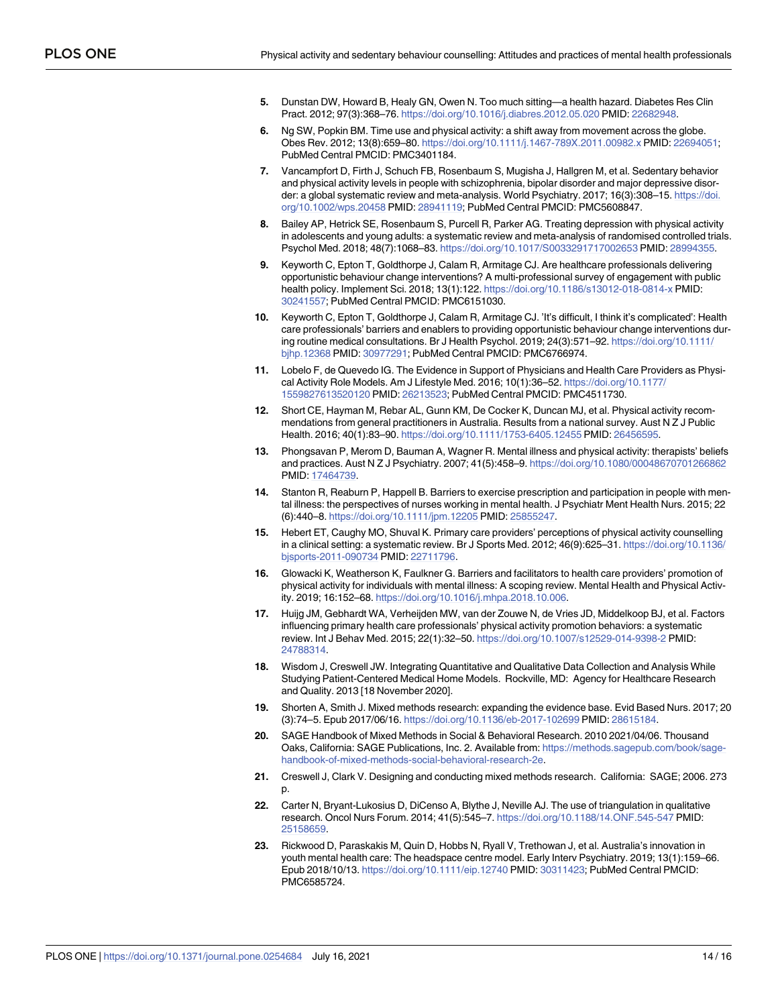- <span id="page-13-0"></span>**5.** Dunstan DW, Howard B, Healy GN, Owen N. Too much sitting—a health hazard. Diabetes Res Clin Pract. 2012; 97(3):368–76. <https://doi.org/10.1016/j.diabres.2012.05.020> PMID: [22682948](http://www.ncbi.nlm.nih.gov/pubmed/22682948).
- **[6](#page-1-0).** Ng SW, Popkin BM. Time use and physical activity: a shift away from movement across the globe. Obes Rev. 2012; 13(8):659–80. <https://doi.org/10.1111/j.1467-789X.2011.00982.x> PMID: [22694051](http://www.ncbi.nlm.nih.gov/pubmed/22694051); PubMed Central PMCID: PMC3401184.
- **[7](#page-1-0).** Vancampfort D, Firth J, Schuch FB, Rosenbaum S, Mugisha J, Hallgren M, et al. Sedentary behavior and physical activity levels in people with schizophrenia, bipolar disorder and major depressive disorder: a global systematic review and meta-analysis. World Psychiatry. 2017; 16(3):308–15. [https://doi.](https://doi.org/10.1002/wps.20458) [org/10.1002/wps.20458](https://doi.org/10.1002/wps.20458) PMID: [28941119](http://www.ncbi.nlm.nih.gov/pubmed/28941119); PubMed Central PMCID: PMC5608847.
- **[8](#page-1-0).** Bailey AP, Hetrick SE, Rosenbaum S, Purcell R, Parker AG. Treating depression with physical activity in adolescents and young adults: a systematic review and meta-analysis of randomised controlled trials. Psychol Med. 2018; 48(7):1068–83. <https://doi.org/10.1017/S0033291717002653> PMID: [28994355](http://www.ncbi.nlm.nih.gov/pubmed/28994355).
- **[9](#page-1-0).** Keyworth C, Epton T, Goldthorpe J, Calam R, Armitage CJ. Are healthcare professionals delivering opportunistic behaviour change interventions? A multi-professional survey of engagement with public health policy. Implement Sci. 2018; 13(1):122. <https://doi.org/10.1186/s13012-018-0814-x> PMID: [30241557](http://www.ncbi.nlm.nih.gov/pubmed/30241557); PubMed Central PMCID: PMC6151030.
- **[10](#page-1-0).** Keyworth C, Epton T, Goldthorpe J, Calam R, Armitage CJ. 'It's difficult, I think it's complicated': Health care professionals' barriers and enablers to providing opportunistic behaviour change interventions during routine medical consultations. Br J Health Psychol. 2019; 24(3):571–92. [https://doi.org/10.1111/](https://doi.org/10.1111/bjhp.12368) [bjhp.12368](https://doi.org/10.1111/bjhp.12368) PMID: [30977291;](http://www.ncbi.nlm.nih.gov/pubmed/30977291) PubMed Central PMCID: PMC6766974.
- **[11](#page-1-0).** Lobelo F, de Quevedo IG. The Evidence in Support of Physicians and Health Care Providers as Physical Activity Role Models. Am J Lifestyle Med. 2016; 10(1):36–52. [https://doi.org/10.1177/](https://doi.org/10.1177/1559827613520120) [1559827613520120](https://doi.org/10.1177/1559827613520120) PMID: [26213523;](http://www.ncbi.nlm.nih.gov/pubmed/26213523) PubMed Central PMCID: PMC4511730.
- **[12](#page-1-0).** Short CE, Hayman M, Rebar AL, Gunn KM, De Cocker K, Duncan MJ, et al. Physical activity recommendations from general practitioners in Australia. Results from a national survey. Aust N Z J Public Health. 2016; 40(1):83–90. <https://doi.org/10.1111/1753-6405.12455> PMID: [26456595](http://www.ncbi.nlm.nih.gov/pubmed/26456595).
- **[13](#page-1-0).** Phongsavan P, Merom D, Bauman A, Wagner R. Mental illness and physical activity: therapists' beliefs and practices. Aust N Z J Psychiatry. 2007; 41(5):458–9. <https://doi.org/10.1080/00048670701266862> PMID: [17464739](http://www.ncbi.nlm.nih.gov/pubmed/17464739).
- **[14](#page-1-0).** Stanton R, Reaburn P, Happell B. Barriers to exercise prescription and participation in people with mental illness: the perspectives of nurses working in mental health. J Psychiatr Ment Health Nurs. 2015; 22 (6):440–8. <https://doi.org/10.1111/jpm.12205> PMID: [25855247.](http://www.ncbi.nlm.nih.gov/pubmed/25855247)
- **[15](#page-1-0).** Hebert ET, Caughy MO, Shuval K. Primary care providers' perceptions of physical activity counselling in a clinical setting: a systematic review. Br J Sports Med. 2012; 46(9):625–31. [https://doi.org/10.1136/](https://doi.org/10.1136/bjsports-2011-090734) [bjsports-2011-090734](https://doi.org/10.1136/bjsports-2011-090734) PMID: [22711796](http://www.ncbi.nlm.nih.gov/pubmed/22711796).
- **[16](#page-1-0).** Glowacki K, Weatherson K, Faulkner G. Barriers and facilitators to health care providers' promotion of physical activity for individuals with mental illness: A scoping review. Mental Health and Physical Activity. 2019; 16:152–68. [https://doi.org/10.1016/j.mhpa.2018.10.006.](https://doi.org/10.1016/j.mhpa.2018.10.006)
- **[17](#page-1-0).** Huijg JM, Gebhardt WA, Verheijden MW, van der Zouwe N, de Vries JD, Middelkoop BJ, et al. Factors influencing primary health care professionals' physical activity promotion behaviors: a systematic review. Int J Behav Med. 2015; 22(1):32–50. <https://doi.org/10.1007/s12529-014-9398-2> PMID: [24788314](http://www.ncbi.nlm.nih.gov/pubmed/24788314).
- **[18](#page-2-0).** Wisdom J, Creswell JW. Integrating Quantitative and Qualitative Data Collection and Analysis While Studying Patient-Centered Medical Home Models. Rockville, MD: Agency for Healthcare Research and Quality. 2013 [18 November 2020].
- **19.** Shorten A, Smith J. Mixed methods research: expanding the evidence base. Evid Based Nurs. 2017; 20 (3):74–5. Epub 2017/06/16. <https://doi.org/10.1136/eb-2017-102699> PMID: [28615184.](http://www.ncbi.nlm.nih.gov/pubmed/28615184)
- **20.** SAGE Handbook of Mixed Methods in Social & Behavioral Research. 2010 2021/04/06. Thousand Oaks, California: SAGE Publications, Inc. 2. Available from: [https://methods.sagepub.com/book/sage](https://methods.sagepub.com/book/sage-handbook-of-mixed-methods-social-behavioral-research-2e)[handbook-of-mixed-methods-social-behavioral-research-2e.](https://methods.sagepub.com/book/sage-handbook-of-mixed-methods-social-behavioral-research-2e)
- **[21](#page-2-0).** Creswell J, Clark V. Designing and conducting mixed methods research. California: SAGE; 2006. 273 p.
- **[22](#page-2-0).** Carter N, Bryant-Lukosius D, DiCenso A, Blythe J, Neville AJ. The use of triangulation in qualitative research. Oncol Nurs Forum. 2014; 41(5):545–7. <https://doi.org/10.1188/14.ONF.545-547> PMID: [25158659](http://www.ncbi.nlm.nih.gov/pubmed/25158659).
- **[23](#page-2-0).** Rickwood D, Paraskakis M, Quin D, Hobbs N, Ryall V, Trethowan J, et al. Australia's innovation in youth mental health care: The headspace centre model. Early Interv Psychiatry. 2019; 13(1):159–66. Epub 2018/10/13. <https://doi.org/10.1111/eip.12740> PMID: [30311423](http://www.ncbi.nlm.nih.gov/pubmed/30311423); PubMed Central PMCID: PMC6585724.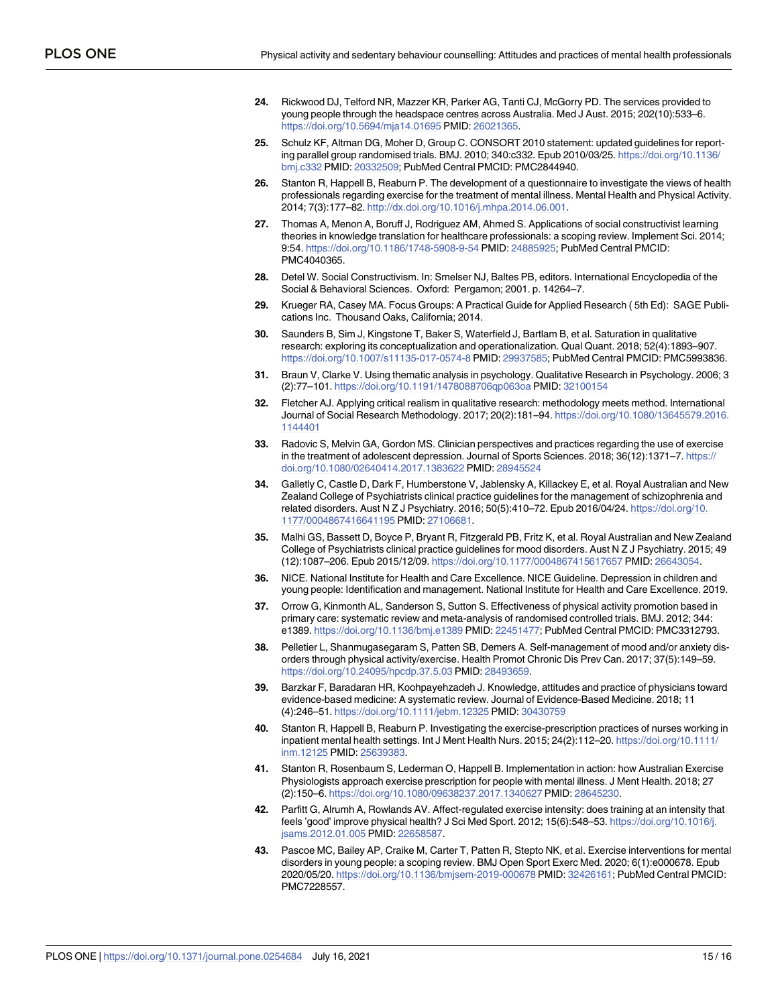- <span id="page-14-0"></span>**[24](#page-2-0).** Rickwood DJ, Telford NR, Mazzer KR, Parker AG, Tanti CJ, McGorry PD. The services provided to young people through the headspace centres across Australia. Med J Aust. 2015; 202(10):533–6. <https://doi.org/10.5694/mja14.01695> PMID: [26021365.](http://www.ncbi.nlm.nih.gov/pubmed/26021365)
- **[25](#page-2-0).** Schulz KF, Altman DG, Moher D, Group C. CONSORT 2010 statement: updated guidelines for reporting parallel group randomised trials. BMJ. 2010; 340:c332. Epub 2010/03/25. [https://doi.org/10.1136/](https://doi.org/10.1136/bmj.c332) [bmj.c332](https://doi.org/10.1136/bmj.c332) PMID: [20332509;](http://www.ncbi.nlm.nih.gov/pubmed/20332509) PubMed Central PMCID: PMC2844940.
- **[26](#page-2-0).** Stanton R, Happell B, Reaburn P. The development of a questionnaire to investigate the views of health professionals regarding exercise for the treatment of mental illness. Mental Health and Physical Activity. 2014; 7(3):177–82. [http://dx.doi.org/10.1016/j.mhpa.2014.06.001.](http://dx.doi.org/10.1016/j.mhpa.2014.06.001)
- **[27](#page-3-0).** Thomas A, Menon A, Boruff J, Rodriguez AM, Ahmed S. Applications of social constructivist learning theories in knowledge translation for healthcare professionals: a scoping review. Implement Sci. 2014; 9:54. <https://doi.org/10.1186/1748-5908-9-54> PMID: [24885925](http://www.ncbi.nlm.nih.gov/pubmed/24885925); PubMed Central PMCID: PMC4040365.
- **[28](#page-3-0).** Detel W. Social Constructivism. In: Smelser NJ, Baltes PB, editors. International Encyclopedia of the Social & Behavioral Sciences. Oxford: Pergamon; 2001. p. 14264–7.
- **[29](#page-3-0).** Krueger RA, Casey MA. Focus Groups: A Practical Guide for Applied Research ( 5th Ed): SAGE Publications Inc. Thousand Oaks, California; 2014.
- **[30](#page-3-0).** Saunders B, Sim J, Kingstone T, Baker S, Waterfield J, Bartlam B, et al. Saturation in qualitative research: exploring its conceptualization and operationalization. Qual Quant. 2018; 52(4):1893–907. <https://doi.org/10.1007/s11135-017-0574-8> PMID: [29937585;](http://www.ncbi.nlm.nih.gov/pubmed/29937585) PubMed Central PMCID: PMC5993836.
- **[31](#page-3-0).** Braun V, Clarke V. Using thematic analysis in psychology. Qualitative Research in Psychology. 2006; 3 (2):77–101. <https://doi.org/10.1191/1478088706qp063oa> PMID: [32100154](http://www.ncbi.nlm.nih.gov/pubmed/32100154)
- **[32](#page-3-0).** Fletcher AJ. Applying critical realism in qualitative research: methodology meets method. International Journal of Social Research Methodology. 2017; 20(2):181–94. [https://doi.org/10.1080/13645579.2016.](https://doi.org/10.1080/13645579.2016.1144401) [1144401](https://doi.org/10.1080/13645579.2016.1144401)
- **[33](#page-9-0).** Radovic S, Melvin GA, Gordon MS. Clinician perspectives and practices regarding the use of exercise in the treatment of adolescent depression. Journal of Sports Sciences. 2018; 36(12):1371-7. [https://](https://doi.org/10.1080/02640414.2017.1383622) [doi.org/10.1080/02640414.2017.1383622](https://doi.org/10.1080/02640414.2017.1383622) PMID: [28945524](http://www.ncbi.nlm.nih.gov/pubmed/28945524)
- **[34](#page-9-0).** Galletly C, Castle D, Dark F, Humberstone V, Jablensky A, Killackey E, et al. Royal Australian and New Zealand College of Psychiatrists clinical practice guidelines for the management of schizophrenia and related disorders. Aust N Z J Psychiatry. 2016; 50(5):410–72. Epub 2016/04/24. [https://doi.org/10.](https://doi.org/10.1177/0004867416641195) [1177/0004867416641195](https://doi.org/10.1177/0004867416641195) PMID: [27106681](http://www.ncbi.nlm.nih.gov/pubmed/27106681).
- **[35](#page-9-0).** Malhi GS, Bassett D, Boyce P, Bryant R, Fitzgerald PB, Fritz K, et al. Royal Australian and New Zealand College of Psychiatrists clinical practice guidelines for mood disorders. Aust N Z J Psychiatry. 2015; 49 (12):1087–206. Epub 2015/12/09. <https://doi.org/10.1177/0004867415617657> PMID: [26643054.](http://www.ncbi.nlm.nih.gov/pubmed/26643054)
- **[36](#page-9-0).** NICE. National Institute for Health and Care Excellence. NICE Guideline. Depression in children and young people: Identification and management. National Institute for Health and Care Excellence. 2019.
- **[37](#page-10-0).** Orrow G, Kinmonth AL, Sanderson S, Sutton S. Effectiveness of physical activity promotion based in primary care: systematic review and meta-analysis of randomised controlled trials. BMJ. 2012; 344: e1389. <https://doi.org/10.1136/bmj.e1389> PMID: [22451477;](http://www.ncbi.nlm.nih.gov/pubmed/22451477) PubMed Central PMCID: PMC3312793.
- **[38](#page-10-0).** Pelletier L, Shanmugasegaram S, Patten SB, Demers A. Self-management of mood and/or anxiety disorders through physical activity/exercise. Health Promot Chronic Dis Prev Can. 2017; 37(5):149–59. <https://doi.org/10.24095/hpcdp.37.5.03> PMID: [28493659.](http://www.ncbi.nlm.nih.gov/pubmed/28493659)
- **[39](#page-10-0).** Barzkar F, Baradaran HR, Koohpayehzadeh J. Knowledge, attitudes and practice of physicians toward evidence-based medicine: A systematic review. Journal of Evidence-Based Medicine. 2018; 11 (4):246–51. <https://doi.org/10.1111/jebm.12325> PMID: [30430759](http://www.ncbi.nlm.nih.gov/pubmed/30430759)
- **[40](#page-10-0).** Stanton R, Happell B, Reaburn P. Investigating the exercise-prescription practices of nurses working in inpatient mental health settings. Int J Ment Health Nurs. 2015; 24(2):112–20. [https://doi.org/10.1111/](https://doi.org/10.1111/inm.12125) [inm.12125](https://doi.org/10.1111/inm.12125) PMID: [25639383.](http://www.ncbi.nlm.nih.gov/pubmed/25639383)
- **[41](#page-10-0).** Stanton R, Rosenbaum S, Lederman O, Happell B. Implementation in action: how Australian Exercise Physiologists approach exercise prescription for people with mental illness. J Ment Health. 2018; 27 (2):150–6. <https://doi.org/10.1080/09638237.2017.1340627> PMID: [28645230](http://www.ncbi.nlm.nih.gov/pubmed/28645230).
- **[42](#page-10-0).** Parfitt G, Alrumh A, Rowlands AV. Affect-regulated exercise intensity: does training at an intensity that feels 'good' improve physical health? J Sci Med Sport. 2012; 15(6):548–53. [https://doi.org/10.1016/j.](https://doi.org/10.1016/j.jsams.2012.01.005) [jsams.2012.01.005](https://doi.org/10.1016/j.jsams.2012.01.005) PMID: [22658587](http://www.ncbi.nlm.nih.gov/pubmed/22658587).
- **[43](#page-10-0).** Pascoe MC, Bailey AP, Craike M, Carter T, Patten R, Stepto NK, et al. Exercise interventions for mental disorders in young people: a scoping review. BMJ Open Sport Exerc Med. 2020; 6(1):e000678. Epub 2020/05/20. <https://doi.org/10.1136/bmjsem-2019-000678> PMID: [32426161](http://www.ncbi.nlm.nih.gov/pubmed/32426161); PubMed Central PMCID: PMC7228557.